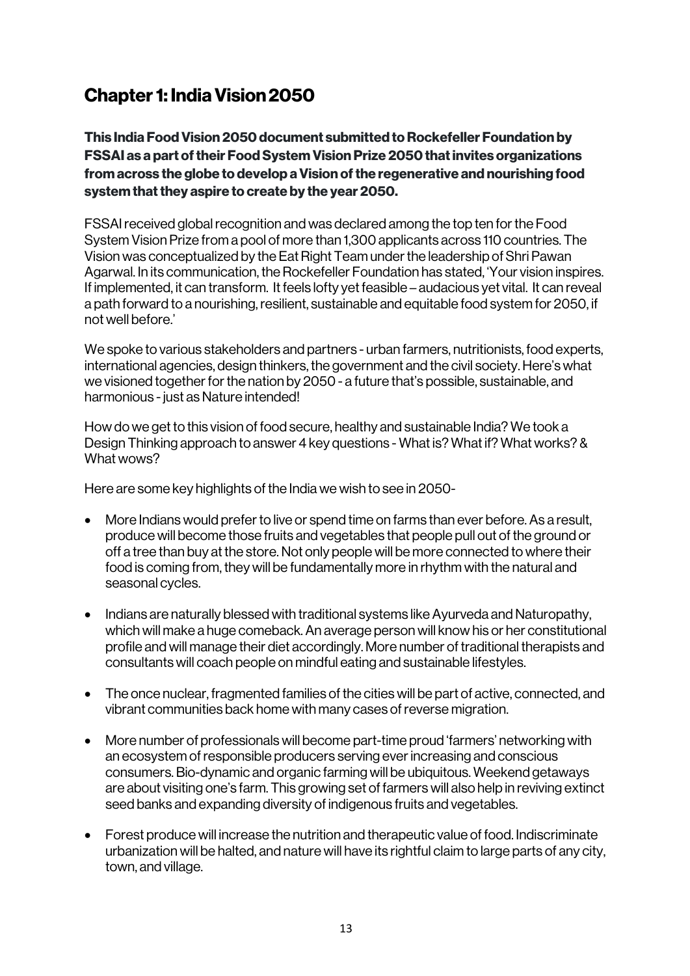# Chapter 1: India Vision2050

This India Food Vision 2050 document submitted to Rockefeller Foundation by FSSAI as a part of their Food System Vision Prize 2050 that invites organizations from across the globe to develop a Vision of the regenerative and nourishing food system that they aspire to create by the year 2050.

FSSAI received global recognition and was declared among the top ten for the Food System Vision Prize from a pool of more than 1,300 applicants across 110 countries. The Vision was conceptualized by the Eat Right Team under the leadership of Shri Pawan Agarwal. In its communication, the Rockefeller Foundation has stated, 'Your vision inspires. If implemented, it can transform. It feels lofty yet feasible – audacious yet vital. It can reveal a path forward to a nourishing, resilient, sustainable and equitable food system for 2050, if not well before.'

We spoke to various stakeholders and partners - urban farmers, nutritionists, food experts, international agencies, design thinkers, the government and the civil society. Here's what we visioned together for the nation by 2050 - a future that's possible, sustainable, and harmonious - just as Nature intended!

How do we get to this vision of food secure, healthy and sustainable India? We took a Design Thinking approach to answer 4 key questions - What is? What if? What works? & What wows?

Here are some key highlights of the India we wish to see in 2050-

- More Indians would prefer to live or spend time on farms than ever before. As a result, produce will become those fruits and vegetables that people pull out of the ground or off a tree than buy at the store. Not only people will be more connected to where their food is coming from, they will be fundamentally more in rhythm with the natural and seasonal cycles.
- Indians are naturally blessed with traditional systems like Ayurveda and Naturopathy, which will make a huge comeback. An average person will know his or her constitutional profile and will manage their diet accordingly. More number of traditional therapists and consultants will coach people on mindful eating and sustainable lifestyles.
- The once nuclear, fragmented families of the cities will be part of active, connected, and vibrant communities back home with many cases of reverse migration.
- More number of professionals will become part-time proud 'farmers' networking with an ecosystem of responsible producers serving ever increasing and conscious consumers. Bio-dynamic and organic farming will be ubiquitous. Weekend getaways are about visiting one's farm. This growing set of farmers will also help in reviving extinct seed banks and expanding diversity of indigenous fruits and vegetables.
- Forest produce will increase the nutrition and therapeutic value of food. Indiscriminate urbanization will be halted, and nature will have its rightful claim to large parts of any city, town, and village.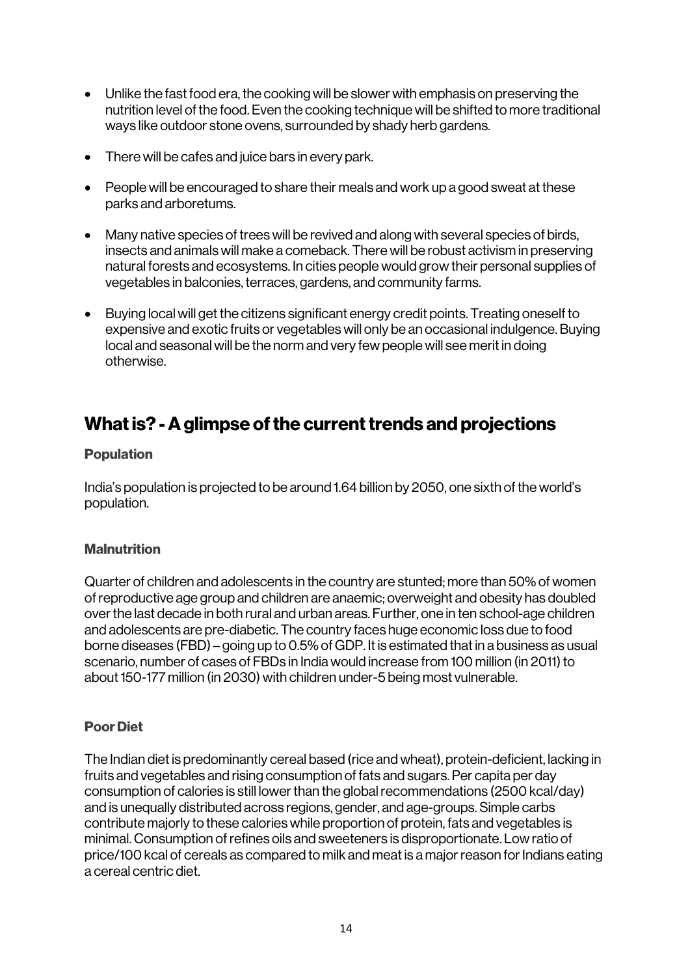- Unlike the fast food era, the cooking will be slower with emphasis on preserving the nutrition level of the food. Even the cooking technique will be shifted to more traditional ways like outdoor stone ovens, surrounded by shady herb gardens.
- There will be cafes and juice bars in every park.
- People will be encouraged to share their meals and work up a good sweat at these parks and arboretums.
- Many native species of trees will be revived and along with several species of birds, insects and animals will make a comeback. There will be robust activism in preserving natural forests and ecosystems. In cities people would grow their personal supplies of vegetables in balconies, terraces, gardens, and community farms.
- Buying local will get the citizens significant energy credit points. Treating oneself to expensive and exotic fruits or vegetables will only be an occasional indulgence. Buying local and seasonal will be the norm and very few people will see merit in doing otherwise.

# What is? -A glimpse of the current trends and projections

#### Population

India's population is projected to be around 1.64 billion by 2050, one sixth of the world's population.

### **Malnutrition**

Quarter of children and adolescents in the country are stunted; more than 50% of women of reproductive age group and children are anaemic; overweight and obesity has doubled over the last decade in both rural and urban areas. Further, one in ten school-age children and adolescents are pre-diabetic. The country faces huge economic loss due to food borne diseases (FBD) – going up to 0.5% of GDP. It is estimated that in a business as usual scenario, number of cases of FBDs in India would increase from 100 million (in 2011) to about 150-177 million (in 2030) with children under-5 being most vulnerable.

### Poor Diet

The Indian diet is predominantly cereal based (rice and wheat), protein-deficient, lacking in fruits and vegetables and rising consumption of fats and sugars. Per capita per day consumption of calories is still lower than the global recommendations (2500 kcal/day) and is unequally distributed across regions, gender, and age-groups. Simple carbs contribute majorly to these calories while proportion of protein, fats and vegetables is minimal. Consumption of refines oils and sweeteners is disproportionate. Low ratio of price/100 kcal of cereals as compared to milk and meat is a major reason for Indians eating a cereal centric diet.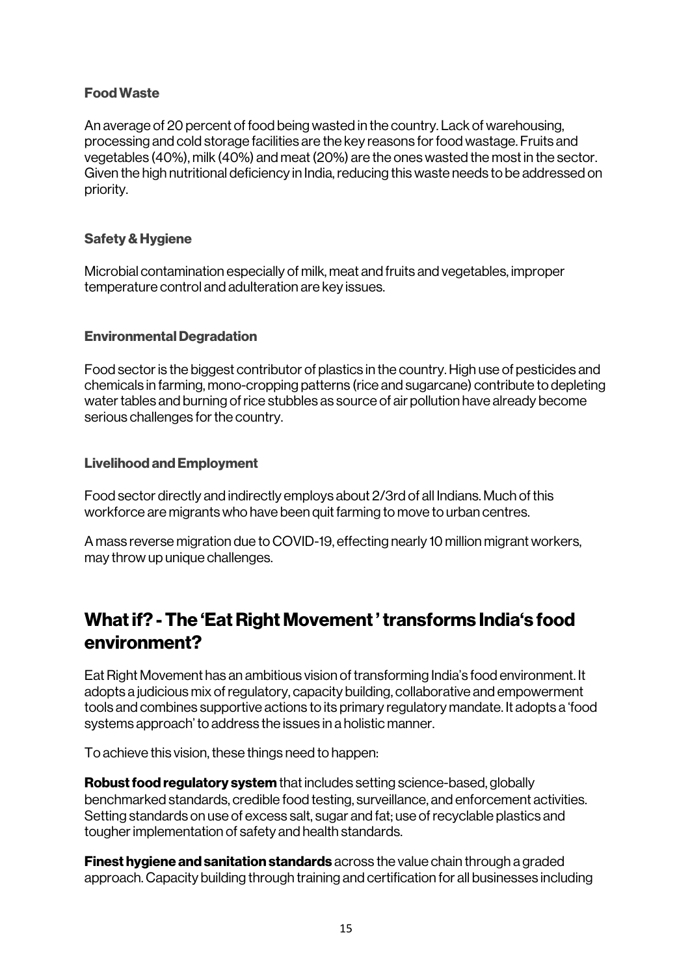### Food Waste

An average of 20 percent of food being wasted in the country. Lack of warehousing, processing and cold storage facilities are the key reasons for food wastage. Fruits and vegetables (40%), milk (40%) and meat (20%) are the ones wasted the most in the sector. Given the high nutritional deficiency in India, reducing this waste needs to be addressed on priority.

#### Safety & Hygiene

Microbial contamination especially of milk, meat and fruits and vegetables, improper temperature control and adulteration are key issues.

#### Environmental Degradation

Food sector is the biggest contributor of plastics in the country. High use of pesticides and chemicals in farming, mono-cropping patterns (rice and sugarcane) contribute to depleting water tables and burning of rice stubbles as source of air pollution have already become serious challenges for the country.

#### Livelihood and Employment

Food sector directly and indirectly employs about 2/3rd of all Indians. Much of this workforce are migrants who have been quit farming to move to urban centres.

A mass reverse migration due to COVID-19, effecting nearly 10 million migrant workers, may throw up unique challenges.

## What if? -The 'Eat Right Movement ' transforms India's food environment?

Eat Right Movement has an ambitious vision of transforming India's food environment. It adopts a judicious mix of regulatory, capacity building, collaborative and empowerment tools and combines supportive actions to its primary regulatory mandate. It adopts a 'food systems approach' to address the issues in a holistic manner.

To achieve this vision, these things need to happen:

Robust food regulatory system that includes setting science-based, globally benchmarked standards, credible food testing, surveillance, and enforcement activities. Setting standards on use of excess salt, sugar and fat; use of recyclable plastics and tougher implementation of safety and health standards.

**Finest hygiene and sanitation standards** across the value chain through a graded approach. Capacity building through training and certification for all businesses including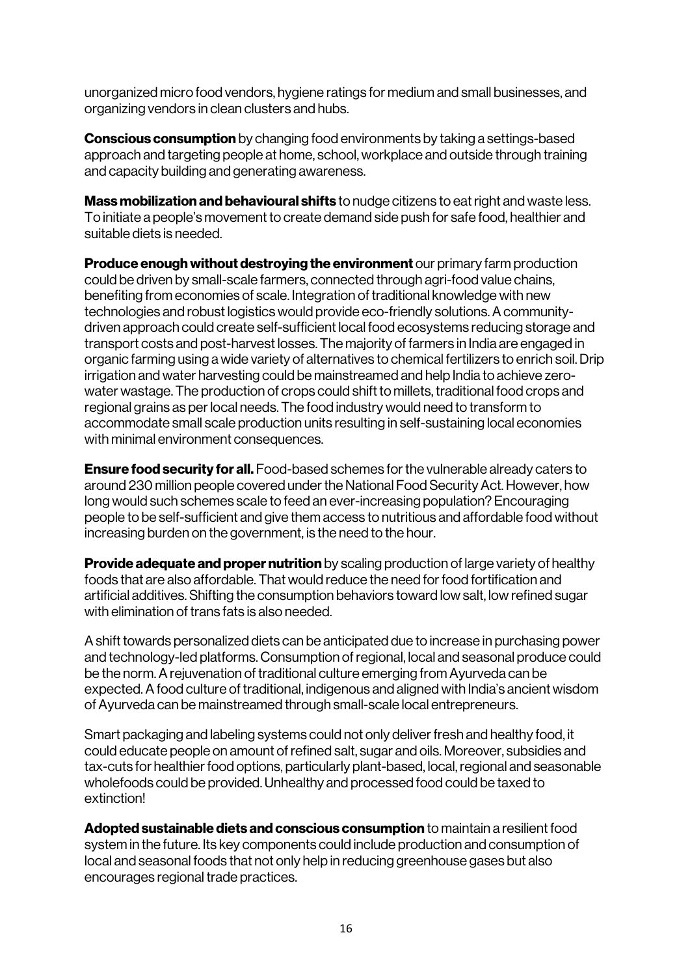unorganized micro food vendors, hygiene ratings for medium and small businesses, and organizing vendors in clean clusters and hubs.

**Conscious consumption** by changing food environments by taking a settings-based approach and targeting people at home, school, workplace and outside through training and capacity building and generating awareness.

**Mass mobilization and behavioural shifts** to nudge citizens to eat right and waste less. To initiate a people's movement to create demand side push for safe food, healthier and suitable diets is needed.

**Produce enough without destroying the environment** our primary farm production could be driven by small-scale farmers, connected through agri-food value chains, benefiting from economies of scale. Integration of traditional knowledge with new technologies and robust logistics would provide eco-friendly solutions. A communitydriven approach could create self-sufficient local food ecosystems reducing storage and transport costs and post-harvest losses. The majority of farmers in India are engaged in organic farming using a wide variety of alternatives to chemical fertilizers to enrich soil. Drip irrigation and water harvesting could be mainstreamed and help India to achieve zerowater wastage. The production of crops could shift to millets, traditional food crops and regional grains as per local needs. The food industry would need to transform to accommodate small scale production units resulting in self-sustaining local economies with minimal environment consequences.

**Ensure food security for all.** Food-based schemes for the vulnerable already caters to around 230 million people covered under the National Food Security Act. However, how long would such schemes scale to feed an ever-increasing population? Encouraging people to be self-sufficient and give them access to nutritious and affordable food without increasing burden on the government, is the need to the hour.

**Provide adequate and proper nutrition** by scaling production of large variety of healthy foods that are also affordable. That would reduce the need for food fortification and artificial additives. Shifting the consumption behaviors toward low salt, low refined sugar with elimination of trans fats is also needed.

A shift towards personalized diets can be anticipated due to increase in purchasing power and technology-led platforms. Consumption of regional, local and seasonal produce could be the norm. A rejuvenation of traditional culture emerging from Ayurveda can be expected. A food culture of traditional, indigenous and aligned with India's ancient wisdom of Ayurveda can be mainstreamed through small-scale local entrepreneurs.

Smart packaging and labeling systems could not only deliver fresh and healthy food, it could educate people on amount of refined salt, sugar and oils. Moreover, subsidies and tax-cuts for healthier food options, particularly plant-based, local, regional and seasonable wholefoods could be provided. Unhealthy and processed food could be taxed to extinction!

Adopted sustainable diets and conscious consumption to maintain a resilient food system in the future. Its key components could include production and consumption of local and seasonal foods that not only help in reducing greenhouse gases but also encourages regional trade practices.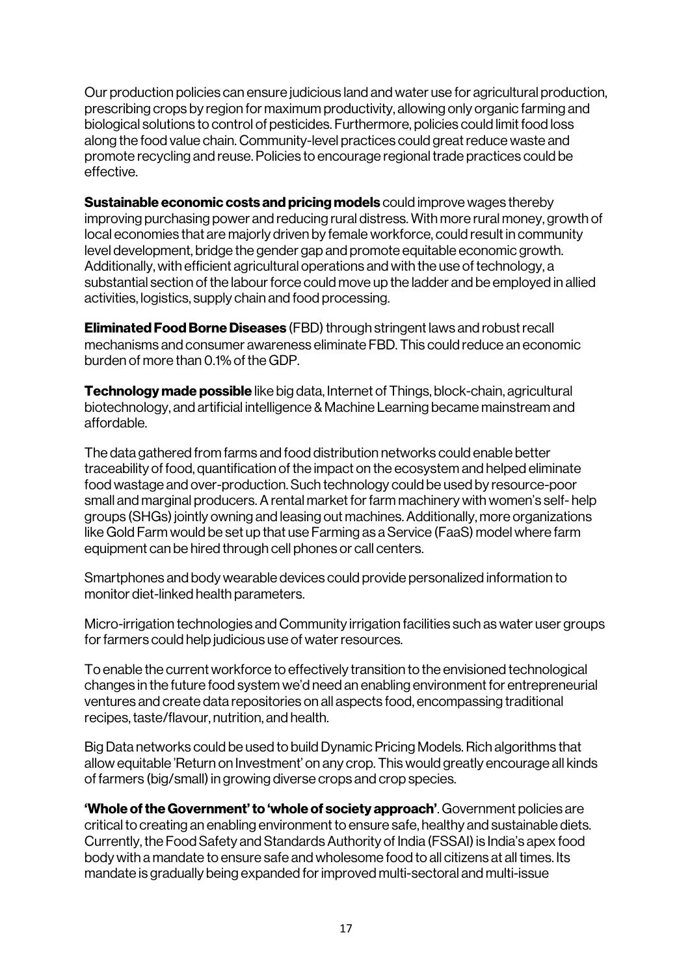Our production policies can ensure judicious land and water use for agricultural production, prescribing crops by region for maximum productivity, allowing only organic farming and biological solutions to control of pesticides. Furthermore, policies could limit food loss along the food value chain. Community-level practices could great reduce waste and promote recycling and reuse. Policies to encourage regional trade practices could be effective.

**Sustainable economic costs and pricing models** could improve wages thereby improving purchasing power and reducing rural distress. With more rural money, growth of local economies that are majorly driven by female workforce, could result in community level development, bridge the gender gap and promote equitable economic growth. Additionally, with efficient agricultural operations and with the use of technology, a substantial section of the labour force could move up the ladder and be employed in allied activities, logistics, supply chain and food processing.

Eliminated Food Borne Diseases (FBD) through stringent laws and robust recall mechanisms and consumer awareness eliminate FBD. This could reduce an economic burden of more than 0.1% of the GDP.

**Technology made possible** like big data, Internet of Things, block-chain, agricultural biotechnology, and artificial intelligence & Machine Learning became mainstream and affordable.

The data gathered from farms and food distribution networks could enable better traceability of food, quantification of the impact on the ecosystem and helped eliminate food wastage and over-production. Such technology could be used by resource-poor small and marginal producers. A rental market for farm machinery with women's self- help groups (SHGs) jointly owning and leasing out machines. Additionally, more organizations like Gold Farm would be set up that use Farming as a Service (FaaS) model where farm equipment can be hired through cell phones or call centers.

Smartphones and body wearable devices could provide personalized information to monitor diet-linked health parameters.

Micro-irrigation technologies and Community irrigation facilities such as water user groups for farmers could help judicious use of water resources.

To enable the current workforce to effectively transition to the envisioned technological changes in the future food system we'd need an enabling environment for entrepreneurial ventures and create data repositories on all aspects food, encompassing traditional recipes, taste/flavour, nutrition, and health.

Big Data networks could be used to build Dynamic Pricing Models. Rich algorithms that allow equitable 'Return on Investment' on any crop. This would greatly encourage all kinds of farmers (big/small) in growing diverse crops and crop species.

'Whole of the Government' to 'whole of society approach'. Government policies are critical to creating an enabling environment to ensure safe, healthy and sustainable diets. Currently, the Food Safety and Standards Authority of India (FSSAI) is India's apex food body with a mandate to ensure safe and wholesome food to all citizens at all times. Its mandate is gradually being expanded for improved multi-sectoral and multi-issue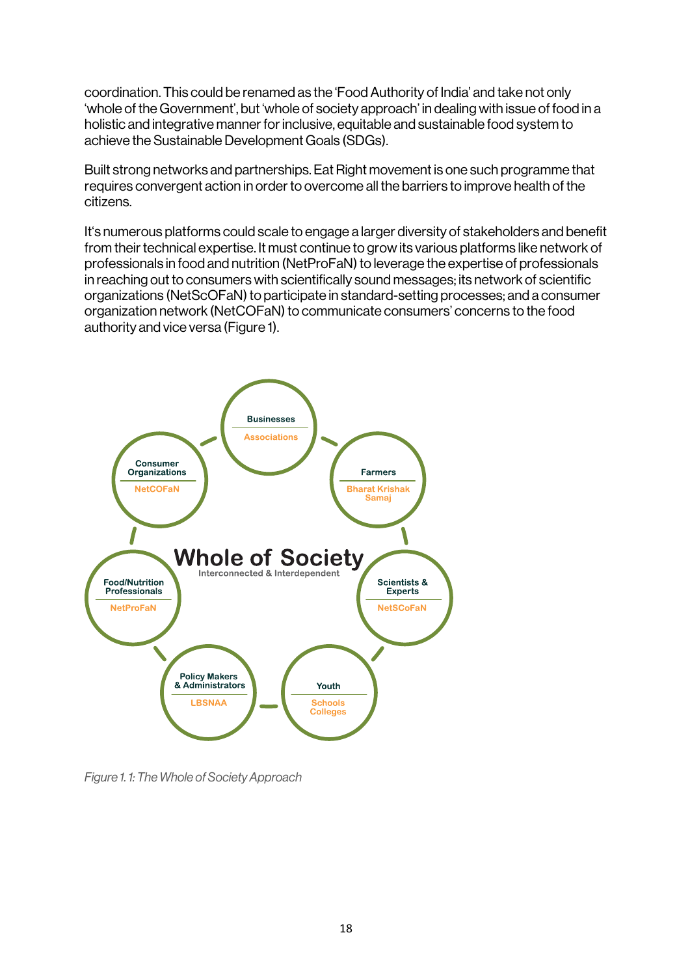coordination. This could be renamed as the 'Food Authority of India' and take not only 'whole of the Government', but 'whole of society approach' in dealing with issue of food in a holistic and integrative manner for inclusive, equitable and sustainable food system to achieve the Sustainable Development Goals (SDGs).

Built strong networks and partnerships. Eat Right movement is one such programme that requires convergent action in order to overcome all the barriers to improve health of the citizens.

It's numerous platforms could scale to engage a larger diversity of stakeholders and benefit from their technical expertise. It must continue to grow its various platforms like network of professionals in food and nutrition (NetProFaN) to leverage the expertise of professionals in reaching out to consumers with scientifically sound messages; its network of scientific organizations (NetScOFaN) to participate in standard-setting processes; and a consumer organization network (NetCOFaN) to communicate consumers' concerns to the food authority and vice versa (Figure 1).



*Figure 1. 1: The Whole of Society Approach*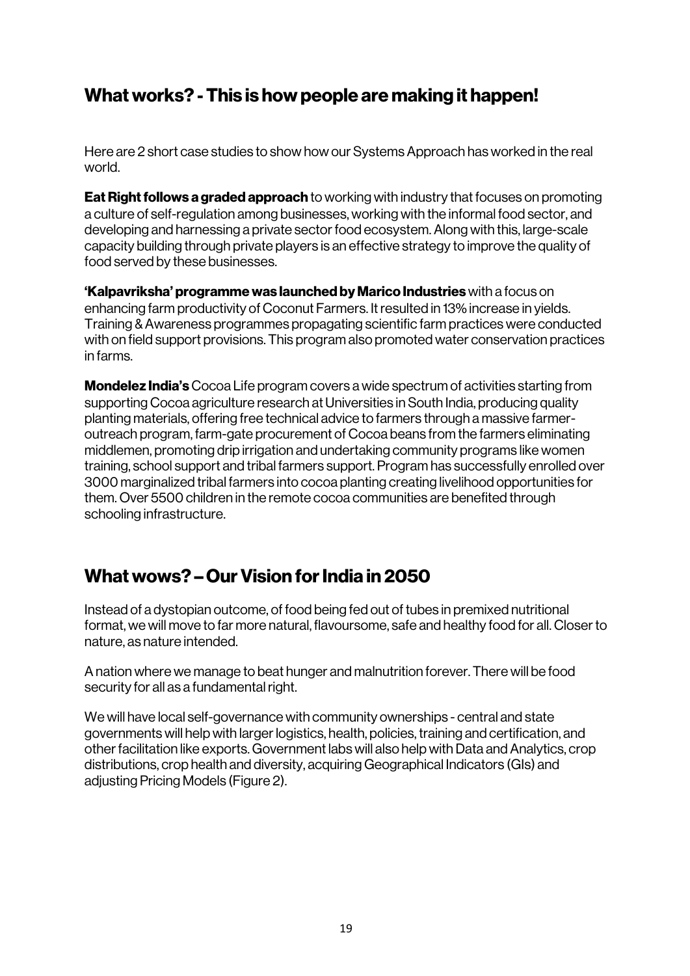# What works? -This is how people are making it happen!

Here are 2 short case studies to show how our Systems Approach has worked in the real world.

**Eat Right follows a graded approach** to working with industry that focuses on promoting a culture of self-regulation among businesses, working with the informal food sector, and developing and harnessing a private sector food ecosystem. Along with this, large-scale capacity building through private players is an effective strategy to improve the quality of food served by these businesses.

'Kalpavriksha' programme was launched by Marico Industries with a focus on enhancing farm productivity of Coconut Farmers. It resulted in 13% increase in yields. Training & Awareness programmes propagating scientific farm practices were conducted with on field support provisions. This program also promoted water conservation practices in farms.

**Mondelez India's** Cocoa Life program covers a wide spectrum of activities starting from supporting Cocoa agriculture research at Universities in South India, producing quality planting materials, offering free technical advice to farmers through a massive farmeroutreach program, farm-gate procurement of Cocoa beans from the farmers eliminating middlemen, promoting drip irrigation and undertaking community programs like women training, school support and tribal farmers support. Program has successfully enrolled over 3000 marginalized tribal farmers into cocoa planting creating livelihood opportunities for them. Over 5500 children in the remote cocoa communities are benefited through schooling infrastructure.

## What wows? – Our Vision for India in 2050

Instead of a dystopian outcome, of food being fed out of tubes in premixed nutritional format, we will move to far more natural, flavoursome, safe and healthy food for all. Closer to nature, as nature intended.

A nation where we manage to beat hunger and malnutrition forever. There will be food security for all as a fundamental right.

We will have local self-governance with community ownerships - central and state governments will help with larger logistics, health, policies, training and certification, and other facilitation like exports. Government labs will also help with Data and Analytics, crop distributions, crop health and diversity, acquiring Geographical Indicators (GIs) and adjusting Pricing Models (Figure 2).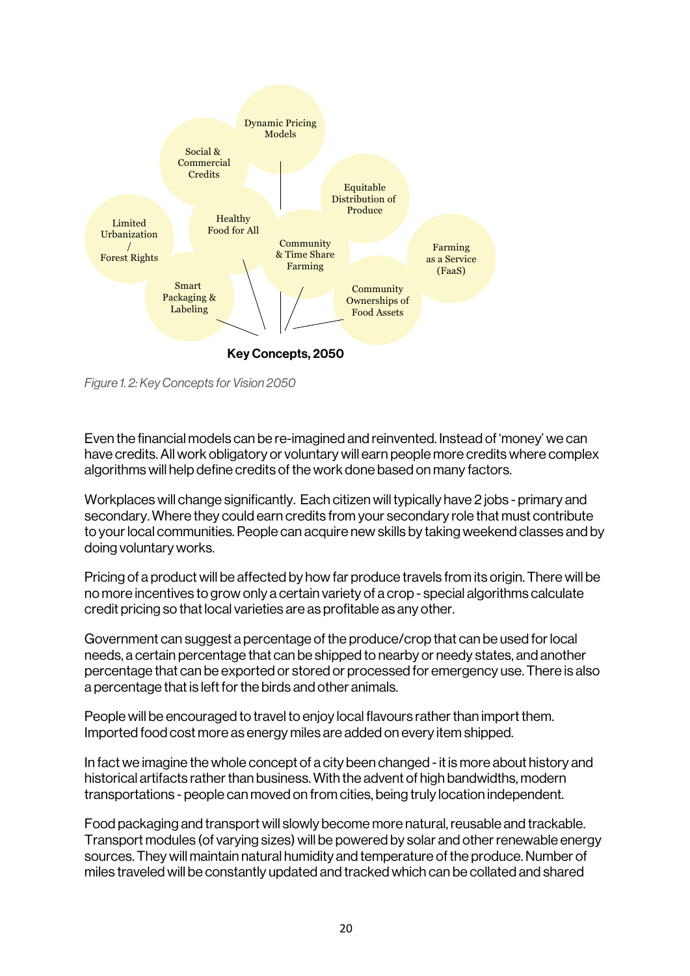

*Figure 1. 2: Key Concepts for Vision 2050*

Even the financial models can be re-imagined and reinvented. Instead of 'money' we can have credits. All work obligatory or voluntary will earn people more credits where complex algorithms will help define credits of the work done based on many factors.

Workplaces will change significantly. Each citizen will typically have 2 jobs - primary and secondary. Where they could earn credits from your secondary role that must contribute to your local communities. People can acquire new skills by taking weekend classes and by doing voluntary works.

Pricing of a product will be affected by how far produce travels from its origin. There will be no more incentives to grow only a certain variety of a crop - special algorithms calculate credit pricing so that local varieties are as profitable as any other.

Government can suggest a percentage of the produce/crop that can be used for local needs, a certain percentage that can be shipped to nearby or needy states, and another percentage that can be exported or stored or processed for emergency use. There is also a percentage that is left for the birds and other animals.

People will be encouraged to travel to enjoy local flavours rather than import them. Imported food cost more as energy miles are added on every item shipped.

In fact we imagine the whole concept of a city been changed - it is more about history and historical artifacts rather than business. With the advent of high bandwidths, modern transportations - people can moved on from cities, being truly location independent.

Food packaging and transport will slowly become more natural, reusable and trackable. Transport modules (of varying sizes) will be powered by solar and other renewable energy sources. They will maintain natural humidity and temperature of the produce. Number of miles traveled will be constantly updated and tracked which can be collated and shared